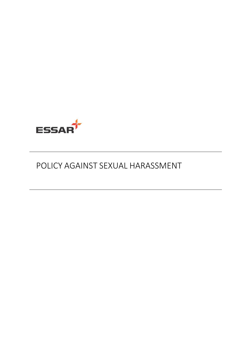

# POLICY AGAINST SEXUAL HARASSMENT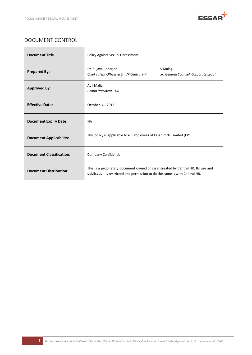

# DOCUMENT CONTROL

| <b>Document Title</b>           | <b>Policy Against Sexual Harassment</b>                                                                                                                         |  |  |  |
|---------------------------------|-----------------------------------------------------------------------------------------------------------------------------------------------------------------|--|--|--|
| <b>Prepared By:</b>             | Dr. Sujaya Banerjee<br>S Malagi<br>Chief Talent Officer & Sr. VP Central HR<br>Sr. General Counsel, Corporate Legal                                             |  |  |  |
| <b>Approved By:</b>             | <b>Adil Malia</b><br>Group President - HR                                                                                                                       |  |  |  |
| <b>Effective Date:</b>          | October 31, 2013                                                                                                                                                |  |  |  |
| <b>Document Expiry Date:</b>    | <b>NA</b>                                                                                                                                                       |  |  |  |
| <b>Document Applicability:</b>  | This policy is applicable to all Employees of Essar Ports Limited (EPL).                                                                                        |  |  |  |
| <b>Document Classification:</b> | Company Confidential                                                                                                                                            |  |  |  |
| <b>Document Distribution:</b>   | This is a proprietary document owned of Essar created by Central HR. Its use and<br>publication is restricted and permission to do the same is with Central HR. |  |  |  |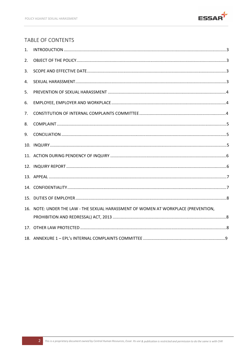

# TABLE OF CONTENTS

| $1_{-}$ |                                                                                    |  |
|---------|------------------------------------------------------------------------------------|--|
| 2.      |                                                                                    |  |
| 3.      |                                                                                    |  |
| 4.      |                                                                                    |  |
| 5.      |                                                                                    |  |
| 6.      |                                                                                    |  |
| 7.      |                                                                                    |  |
| 8.      |                                                                                    |  |
| 9.      |                                                                                    |  |
|         |                                                                                    |  |
|         |                                                                                    |  |
|         |                                                                                    |  |
|         |                                                                                    |  |
|         |                                                                                    |  |
|         |                                                                                    |  |
|         | 16. NOTE: UNDER THE LAW - THE SEXUAL HARASSMENT OF WOMEN AT WORKPLACE (PREVENTION, |  |
|         |                                                                                    |  |
|         |                                                                                    |  |
|         |                                                                                    |  |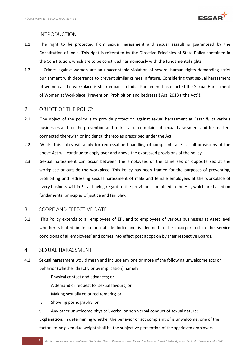

#### 1. INTRODUCTION

- 1.1 The right to be protected from sexual harassment and sexual assault is guaranteed by the Constitution of India. This right is reiterated by the Directive Principles of State Policy contained in the Constitution, which are to be construed harmoniously with the fundamental rights.
- 1.2 Crimes against women are an unacceptable violation of several human rights demanding strict punishment with deterrence to prevent similar crimes in future. Considering that sexual harassment of women at the workplace is still rampant in India, Parliament has enacted the Sexual Harassment of Women at Workplace (Prevention, Prohibition and Redressal) Act, 2013 ("the Act").

#### 2. OBJECT OF THE POLICY

- 2.1 The object of the policy is to provide protection against sexual harassment at Essar & its various businesses and for the prevention and redressal of complaint of sexual harassment and for matters connected therewith or incidental thereto as prescribed under the Act.
- 2.2 Whilst this policy will apply for redressal and handling of complaints at Essar all provisions of the above Act will continue to apply over and above the expressed provisions of the policy.
- 2.3 Sexual harassment can occur between the employees of the same sex or opposite sex at the workplace or outside the workplace. This Policy has been framed for the purposes of preventing, prohibiting and redressing sexual harassment of male and female employees at the workplace of every business within Essar having regard to the provisions contained in the Act, which are based on fundamental principles of justice and fair play.

#### 3. SCOPE AND EFFECTIVE DATE

3.1 This Policy extends to all employees of EPL and to employees of various businesses at Asset level whether situated in India or outside India and is deemed to be incorporated in the service conditions of all employees' and comes into effect post adoption by their respective Boards.

#### 4. SEXUAL HARASSMENT

- 4.1 Sexual harassment would mean and include any one or more of the following unwelcome acts or behavior (whether directly or by implication) namely:
	- i. Physical contact and advances; or
	- ii. A demand or request for sexual favours; or
	- iii. Making sexually coloured remarks; or
	- iv. Showing pornography; or
	- v. Any other unwelcome physical, verbal or non-verbal conduct of sexual nature;

**Explanation:** In determining whether the behavior or act complaint of is unwelcome, one of the factors to be given due weight shall be the subjective perception of the aggrieved employee.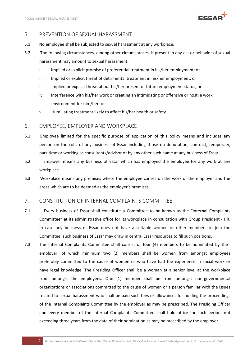

#### 5. PREVENTION OF SEXUAL HARASSMENT

- 5.1 No employee shall be subjected to sexual harassment at any workplace.
- 5.2 The following circumstances, among other circumstances, if present in any act or behavior of sexual harassment may amount to sexual harassment:
	- i. Implied or explicit promise of preferential treatment in his/her employment; or
	- ii. Implied or explicit threat of detrimental treatment in his/her employment; or
	- iii. Implied or explicit threat about his/her present or future employment status; or
	- iv. Interference with his/her work or creating an intimidating or offensive or hostile work environment for him/her; or
	- v. Humiliating treatment likely to affect his/her health or safety.

#### 6. EMPLOYEE, EMPLOYER AND WORKPLACE

- 6.1 Employee limited for the specific purpose of application of this policy means and includes any person on the rolls of any business of Essar including those on deputation, contract, temporary, part-time or working as consultants/advisor or by any other such name at any business of Essar.
- 6.2 Employer means any business of Essar which has employed the employee for any work at any workplace.
- 6.3 Workplace means any premises where the employee carries on the work of the employer and the areas which are to be deemed as the employer's premises.

#### 7. CONSTITUTION OF INTERNAL COMPLAINTS COMMITTEE

- 7.1 Every business of Essar shall constitute a Committee to be known as the "Internal Complaints Committee" at its administrative office for its workplace in consultation with Group President - HR. In case any business of Essar does not have a suitable women or other members to join the Committee, such business of Essar may draw in central Essar resources to fill such positions.
- 7.3 The Internal Complaints Committee shall consist of four (4) members to be nominated by the employer, of which minimum two (2) members shall be women from amongst employees preferably committed to the cause of women or who have had the experience in social work or have legal knowledge. The Presiding Officer shall be a woman at a senior level at the workplace from amongst the employees. One (1) member shall be from amongst non-governmental organizations or associations committed to the cause of women or a person familiar with the issues related to sexual harassment who shall be paid such fees or allowances for holding the proceedings of the Internal Complaints Committee by the employer as may be prescribed. The Presiding Officer and every member of the Internal Complaints Committee shall hold office for such period, not exceeding three years from the date of their nomination as may be prescribed by the employer.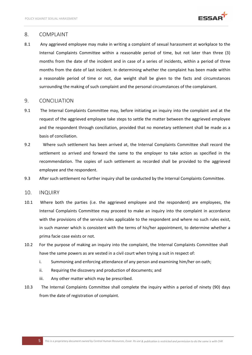

#### 8. COMPLAINT

8.1 Any aggrieved employee may make in writing a complaint of sexual harassment at workplace to the Internal Complaints Committee within a reasonable period of time, but not later than three (3) months from the date of the incident and in case of a series of incidents, within a period of three months from the date of last incident. In determining whether the complaint has been made within a reasonable period of time or not, due weight shall be given to the facts and circumstances surrounding the making of such complaint and the personal circumstances of the complainant.

#### 9. CONCILIATION

- 9.1 The Internal Complaints Committee may, before initiating an inquiry into the complaint and at the request of the aggrieved employee take steps to settle the matter between the aggrieved employee and the respondent through conciliation, provided that no monetary settlement shall be made as a basis of conciliation.
- 9.2 Where such settlement has been arrived at, the Internal Complaints Committee shall record the settlement so arrived and forward the same to the employer to take action as specified in the recommendation. The copies of such settlement as recorded shall be provided to the aggrieved employee and the respondent.
- 9.3 After such settlement no further inquiry shall be conducted by the Internal Complaints Committee.

#### 10. INQUIRY

- 10.1 Where both the parties (i.e. the aggrieved employee and the respondent) are employees, the Internal Complaints Committee may proceed to make an inquiry into the complaint in accordance with the provisions of the service rules applicable to the respondent and where no such rules exist, in such manner which is consistent with the terms of his/her appointment, to determine whether a prima facie case exists or not.
- 10.2 For the purpose of making an inquiry into the complaint, the Internal Complaints Committee shall have the same powers as are vested in a civil court when trying a suit in respect of:
	- i. Summoning and enforcing attendance of any person and examining him/her on oath;
	- ii. Requiring the discovery and production of documents; and
	- iii. Any other matter which may be prescribed.
- 10.3 The Internal Complaints Committee shall complete the inquiry within a period of ninety (90) days from the date of registration of complaint.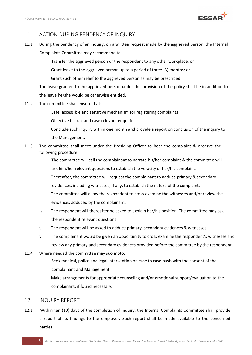

### 11. ACTION DURING PENDENCY OF INQUIRY

- 11.1 During the pendency of an inquiry, on a written request made by the aggrieved person, the Internal Complaints Committee may recommend to
	- i. Transfer the aggrieved person or the respondent to any other workplace; or
	- ii. Grant leave to the aggrieved person up to a period of three (3) months; or
	- iii. Grant such other relief to the aggrieved person as may be prescribed.

The leave granted to the aggrieved person under this provision of the policy shall be in addition to the leave he/she would be otherwise entitled.

- 11.2 The committee shall ensure that:
	- i. Safe, accessible and sensitive mechanism for registering complaints
	- ii. Objective factual and case relevant enquiries
	- iii. Conclude such inquiry within one month and provide a report on conclusion of the inquiry to the Management.
- 11.3 The committee shall meet under the Presiding Officer to hear the complaint & observe the following procedure:
	- i. The committee will call the complainant to narrate his/her complaint & the committee will ask him/her relevant questions to establish the veracity of her/his complaint.
	- ii. Thereafter, the committee will request the complainant to adduce primary & secondary evidences, including witnesses, if any, to establish the nature of the complaint.
	- iii. The committee will allow the respondent to cross examine the witnesses and/or review the evidences adduced by the complainant.
	- iv. The respondent will thereafter be asked to explain her/his position. The committee may ask the respondent relevant questions.
	- v. The respondent will be asked to adduce primary, secondary evidences & witnesses.
	- vi. The complainant would be given an opportunity to cross examine the respondent's witnesses and review any primary and secondary evidences provided before the committee by the respondent.
- 11.4 Where needed the committee may suo moto:
	- i. Seek medical, police and legal intervention on case to case basis with the consent of the complainant and Management.
	- ii. Make arrangements for appropriate counseling and/or emotional support/evaluation to the complainant, if found necessary.

#### 12. INQUIRY REPORT

12.1 Within ten (10) days of the completion of inquiry, the Internal Complaints Committee shall provide a report of its findings to the employer. Such report shall be made available to the concerned parties.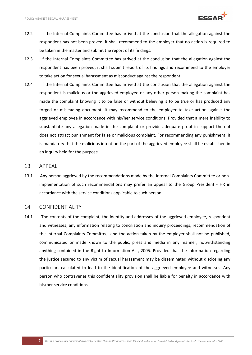

- 12.2 If the Internal Complaints Committee has arrived at the conclusion that the allegation against the respondent has not been proved, it shall recommend to the employer that no action is required to be taken in the matter and submit the report of its findings.
- 12.3 If the Internal Complaints Committee has arrived at the conclusion that the allegation against the respondent has been proved, it shall submit report of its findings and recommend to the employer to take action for sexual harassment as misconduct against the respondent.
- 12.4 If the Internal Complaints Committee has arrived at the conclusion that the allegation against the respondent is malicious or the aggrieved employee or any other person making the complaint has made the complaint knowing it to be false or without believing it to be true or has produced any forged or misleading document, it may recommend to the employer to take action against the aggrieved employee in accordance with his/her service conditions. Provided that a mere inability to substantiate any allegation made in the complaint or provide adequate proof in support thereof does not attract punishment for false or malicious complaint. For recommending any punishment, it is mandatory that the malicious intent on the part of the aggrieved employee shall be established in an inquiry held for the purpose.
- 13. APPEAL
- 13.1 Any person aggrieved by the recommendations made by the Internal Complaints Committee or nonimplementation of such recommendations may prefer an appeal to the Group President - HR in accordance with the service conditions applicable to such person.

#### 14. CONFIDENTIALITY

14.1 The contents of the complaint, the identity and addresses of the aggrieved employee, respondent and witnesses, any information relating to conciliation and inquiry proceedings, recommendation of the Internal Complaints Committee, and the action taken by the employer shall not be published, communicated or made known to the public, press and media in any manner, notwithstanding anything contained in the Right to Information Act, 2005. Provided that the information regarding the justice secured to any victim of sexual harassment may be disseminated without disclosing any particulars calculated to lead to the identification of the aggrieved employee and witnesses. Any person who contravenes this confidentiality provision shall be liable for penalty in accordance with his/her service conditions.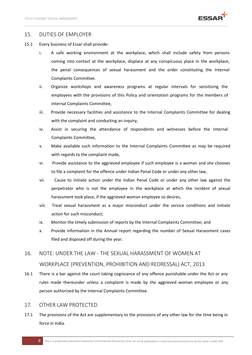

#### 15. DUTIES OF EMPLOYER

- 15.1 Every business of Essar shall provide:
	- i. A safe working environment at the workplace, which shall include safety from persons coming into contact at the workplace, displace at any conspicuous place in the workplace, the penal consequences of sexual harassment and the order constituting the Internal Complaints Committee.
	- ii. Organize workshops and awareness programs at regular intervals for sensitizing the employees with the provisions of this Policy and orientation programs for the members of Internal Complaints Committee,
	- iii. Provide necessary facilities and assistance to the Internal Complaints Committee for dealing with the complaint and conducting an inquiry,
	- iv. Assist in securing the attendance of respondents and witnesses before the Internal Complaints Committee,
	- v. Make available such information to the Internal Complaints Committee as may be required with regards to the complaint made,
	- vi. Provide assistance to the aggrieved employee if such employee is a woman and she chooses to file a complaint for the offence under Indian Penal Code or under any other law,
	- vii. Cause to initiate action under the Indian Penal Code or under any other law against the perpetrator who is not the employee in the workplace at which the incident of sexual harassment took place, if the aggrieved woman employee so desires,
	- viii. Treat sexual harassment as a major misconduct under the service conditions and initiate action for such misconduct;
	- ix. Monitor the timely submission of reports by the Internal Complaints Committee; and
	- x. Provide information in the Annual report regarding the number of Sexual Harassment cases filed and disposed off during the year.

# 16. NOTE: UNDER THE LAW - THE SEXUAL HARASSMENT OF WOMEN AT WORKPLACE (PREVENTION, PROHIBITION AND REDRESSAL) ACT, 2013

16.1 There is a bar against the court taking cognizance of any offence punishable under the Act or any rules made thereunder unless a complaint is made by the aggrieved woman employee or any person authorized by the Internal Complaints Committee.

#### 17. OTHER LAW PROTECTED

17.1 The provisions of the Act are supplementary to the provisions of any other law for the time being in force in India.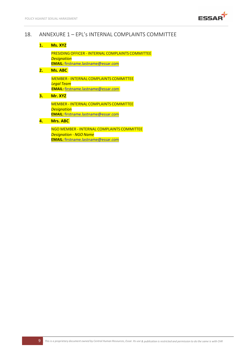

## 18. ANNEXURE 1 – EPL's INTERNAL COMPLAINTS COMMITTEE

**1. Ms. XYZ**

PRESIDING OFFICER - INTERNAL COMPLAINTS COMMITTEE *Designation* **EMAIL:** [firstname.lastname@essar.com](mailto:firstname.lastname@essar.com)

#### **2. Ms. ABC**

MEMBER - INTERNAL COMPLAINTS COMMITTEE *Legal Team* **EMAIL:** [firstname.lastname@essar.com](mailto:firstname.lastname@essar.com)

#### **3. Mr. XYZ**

MEMBER - INTERNAL COMPLAINTS COMMITTEE *Designation* **EMAIL:** [firstname.lastname@essar.com](mailto:sujaya.banerjee@essar.com)

**4. Mrs. ABC** 

NGO MEMBER - INTERNAL COMPLAINTS COMMITTEE *Designation - NGO Name* **EMAIL:** [firstname.lastname@essar.com](mailto:sujaya.banerjee@essar.com)